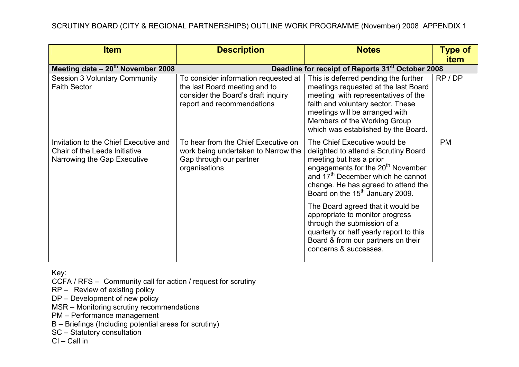| <b>Item</b>                                                                                           | <b>Description</b>                                                                                                                        | <b>Notes</b>                                                                                                                                                                                                                                                                                                                                                    | <b>Type of</b> |
|-------------------------------------------------------------------------------------------------------|-------------------------------------------------------------------------------------------------------------------------------------------|-----------------------------------------------------------------------------------------------------------------------------------------------------------------------------------------------------------------------------------------------------------------------------------------------------------------------------------------------------------------|----------------|
|                                                                                                       |                                                                                                                                           |                                                                                                                                                                                                                                                                                                                                                                 | item           |
| Meeting date $-20^{th}$ November 2008                                                                 | Deadline for receipt of Reports 31 <sup>st</sup> October 2008                                                                             |                                                                                                                                                                                                                                                                                                                                                                 |                |
| <b>Session 3 Voluntary Community</b><br><b>Faith Sector</b>                                           | To consider information requested at<br>the last Board meeting and to<br>consider the Board's draft inquiry<br>report and recommendations | This is deferred pending the further<br>meetings requested at the last Board<br>meeting with representatives of the<br>faith and voluntary sector. These<br>meetings will be arranged with<br>Members of the Working Group<br>which was established by the Board.                                                                                               | RP / DP        |
| Invitation to the Chief Executive and<br>Chair of the Leeds Initiative<br>Narrowing the Gap Executive | To hear from the Chief Executive on<br>work being undertaken to Narrow the<br>Gap through our partner<br>organisations                    | The Chief Executive would be<br>delighted to attend a Scrutiny Board<br>meeting but has a prior<br>engagements for the 20 <sup>th</sup> November<br>and 17 <sup>th</sup> December which he cannot<br>change. He has agreed to attend the<br>Board on the 15 <sup>th</sup> January 2009.<br>The Board agreed that it would be<br>appropriate to monitor progress | <b>PM</b>      |
|                                                                                                       |                                                                                                                                           | through the submission of a<br>quarterly or half yearly report to this<br>Board & from our partners on their<br>concerns & successes.                                                                                                                                                                                                                           |                |

CCFA / RFS – Community call for action / request for scrutiny

RP – Review of existing policy

DP – Development of new policy

MSR – Monitoring scrutiny recommendations

PM – Performance management

B – Briefings (Including potential areas for scrutiny)

SC – Statutory consultation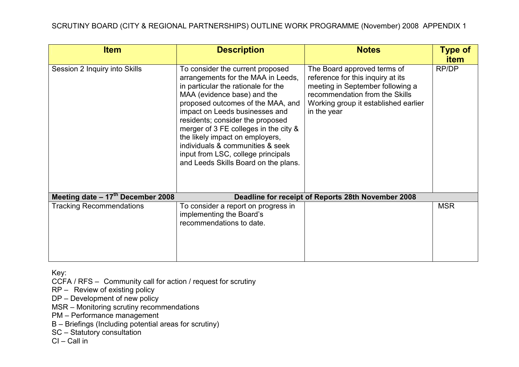| <b>Item</b>                        | <b>Description</b>                                                                                                                                                                                                                                                                                                                                                                                                                                    | <b>Notes</b>                                                                                                                                                                                  | <b>Type of</b>       |
|------------------------------------|-------------------------------------------------------------------------------------------------------------------------------------------------------------------------------------------------------------------------------------------------------------------------------------------------------------------------------------------------------------------------------------------------------------------------------------------------------|-----------------------------------------------------------------------------------------------------------------------------------------------------------------------------------------------|----------------------|
| Session 2 Inquiry into Skills      | To consider the current proposed<br>arrangements for the MAA in Leeds,<br>in particular the rationale for the<br>MAA (evidence base) and the<br>proposed outcomes of the MAA, and<br>impact on Leeds businesses and<br>residents; consider the proposed<br>merger of 3 FE colleges in the city &<br>the likely impact on employers,<br>individuals & communities & seek<br>input from LSC, college principals<br>and Leeds Skills Board on the plans. | The Board approved terms of<br>reference for this inquiry at its<br>meeting in September following a<br>recommendation from the Skills<br>Working group it established earlier<br>in the year | <b>item</b><br>RP/DP |
| Meeting date $-17th$ December 2008 |                                                                                                                                                                                                                                                                                                                                                                                                                                                       | Deadline for receipt of Reports 28th November 2008                                                                                                                                            |                      |
| <b>Tracking Recommendations</b>    | To consider a report on progress in<br>implementing the Board's<br>recommendations to date.                                                                                                                                                                                                                                                                                                                                                           |                                                                                                                                                                                               | <b>MSR</b>           |

CCFA / RFS – Community call for action / request for scrutiny

RP – Review of existing policy

DP – Development of new policy

MSR – Monitoring scrutiny recommendations

PM – Performance management

B – Briefings (Including potential areas for scrutiny)

SC – Statutory consultation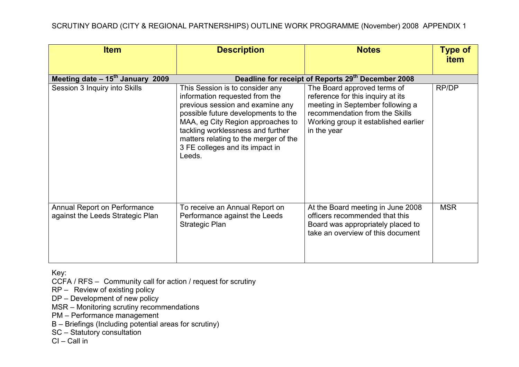| <b>Item</b>                                                      | <b>Description</b>                                                                                                                                                                                                                                                                                           | <b>Notes</b>                                                                                                                                                                                  | <b>Type of</b><br><b>item</b> |
|------------------------------------------------------------------|--------------------------------------------------------------------------------------------------------------------------------------------------------------------------------------------------------------------------------------------------------------------------------------------------------------|-----------------------------------------------------------------------------------------------------------------------------------------------------------------------------------------------|-------------------------------|
| Meeting date $-15^{th}$ January 2009                             |                                                                                                                                                                                                                                                                                                              | Deadline for receipt of Reports 29th December 2008                                                                                                                                            |                               |
| Session 3 Inquiry into Skills                                    | This Session is to consider any<br>information requested from the<br>previous session and examine any<br>possible future developments to the<br>MAA, eg City Region approaches to<br>tackling worklessness and further<br>matters relating to the merger of the<br>3 FE colleges and its impact in<br>Leeds. | The Board approved terms of<br>reference for this inquiry at its<br>meeting in September following a<br>recommendation from the Skills<br>Working group it established earlier<br>in the year | RP/DP                         |
| Annual Report on Performance<br>against the Leeds Strategic Plan | To receive an Annual Report on<br>Performance against the Leeds<br><b>Strategic Plan</b>                                                                                                                                                                                                                     | At the Board meeting in June 2008<br>officers recommended that this<br>Board was appropriately placed to<br>take an overview of this document                                                 | <b>MSR</b>                    |

CCFA / RFS – Community call for action / request for scrutiny

RP – Review of existing policy

DP – Development of new policy

MSR – Monitoring scrutiny recommendations

PM – Performance management

B – Briefings (Including potential areas for scrutiny)

SC – Statutory consultation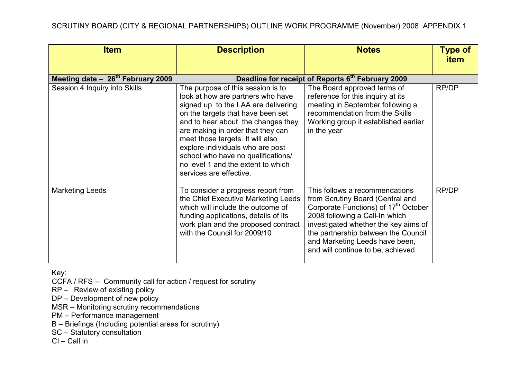| <b>Item</b>                        | <b>Description</b>                                                                                                                                                                                                                                                                                                                                                                                           | <b>Notes</b>                                                                                                                                                                                                                                                                                                    | <b>Type of</b><br><b>item</b> |
|------------------------------------|--------------------------------------------------------------------------------------------------------------------------------------------------------------------------------------------------------------------------------------------------------------------------------------------------------------------------------------------------------------------------------------------------------------|-----------------------------------------------------------------------------------------------------------------------------------------------------------------------------------------------------------------------------------------------------------------------------------------------------------------|-------------------------------|
| Meeting date $-26th$ February 2009 |                                                                                                                                                                                                                                                                                                                                                                                                              | Deadline for receipt of Reports 6th February 2009                                                                                                                                                                                                                                                               |                               |
| Session 4 Inquiry into Skills      | The purpose of this session is to<br>look at how are partners who have<br>signed up to the LAA are delivering<br>on the targets that have been set<br>and to hear about the changes they<br>are making in order that they can<br>meet those targets. It will also<br>explore individuals who are post<br>school who have no qualifications/<br>no level 1 and the extent to which<br>services are effective. | The Board approved terms of<br>reference for this inquiry at its<br>meeting in September following a<br>recommendation from the Skills<br>Working group it established earlier<br>in the year                                                                                                                   | RP/DP                         |
| <b>Marketing Leeds</b>             | To consider a progress report from<br>the Chief Executive Marketing Leeds<br>which will include the outcome of<br>funding applications, details of its<br>work plan and the proposed contract<br>with the Council for 2009/10                                                                                                                                                                                | This follows a recommendations<br>from Scrutiny Board (Central and<br>Corporate Functions) of 17 <sup>th</sup> October<br>2008 following a Call-In which<br>investigated whether the key aims of<br>the partnership between the Council<br>and Marketing Leeds have been,<br>and will continue to be, achieved. | RP/DP                         |

CCFA / RFS – Community call for action / request for scrutiny

RP – Review of existing policy

DP – Development of new policy

MSR – Monitoring scrutiny recommendations

PM – Performance management

B – Briefings (Including potential areas for scrutiny)

SC – Statutory consultation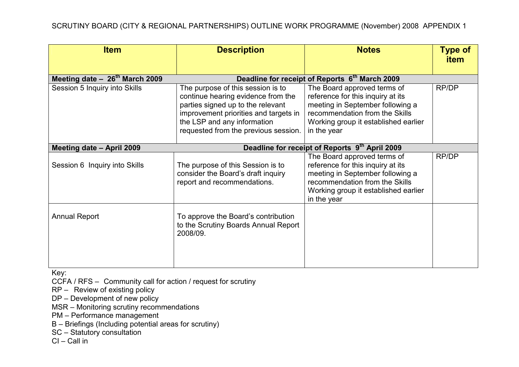| <b>Item</b>                        | <b>Description</b>                                                                                                                                                                                                           | <b>Notes</b>                                                                                                                                                                                  | <b>Type of</b><br><b>item</b> |
|------------------------------------|------------------------------------------------------------------------------------------------------------------------------------------------------------------------------------------------------------------------------|-----------------------------------------------------------------------------------------------------------------------------------------------------------------------------------------------|-------------------------------|
| Meeting date $-26^{th}$ March 2009 |                                                                                                                                                                                                                              | Deadline for receipt of Reports 6 <sup>th</sup> March 2009                                                                                                                                    |                               |
| Session 5 Inquiry into Skills      | The purpose of this session is to<br>continue hearing evidence from the<br>parties signed up to the relevant<br>improvement priorities and targets in<br>the LSP and any information<br>requested from the previous session. | The Board approved terms of<br>reference for this inquiry at its<br>meeting in September following a<br>recommendation from the Skills<br>Working group it established earlier<br>in the year | RP/DP                         |
| Meeting date - April 2009          | Deadline for receipt of Reports 9th April 2009                                                                                                                                                                               |                                                                                                                                                                                               |                               |
| Session 6 Inquiry into Skills      | The purpose of this Session is to<br>consider the Board's draft inquiry<br>report and recommendations.                                                                                                                       | The Board approved terms of<br>reference for this inquiry at its<br>meeting in September following a<br>recommendation from the Skills<br>Working group it established earlier<br>in the year | RP/DP                         |
| <b>Annual Report</b>               | To approve the Board's contribution<br>to the Scrutiny Boards Annual Report<br>2008/09.                                                                                                                                      |                                                                                                                                                                                               |                               |

CCFA / RFS – Community call for action / request for scrutiny

RP – Review of existing policy

DP – Development of new policy

MSR – Monitoring scrutiny recommendations

PM – Performance management

B – Briefings (Including potential areas for scrutiny)

SC – Statutory consultation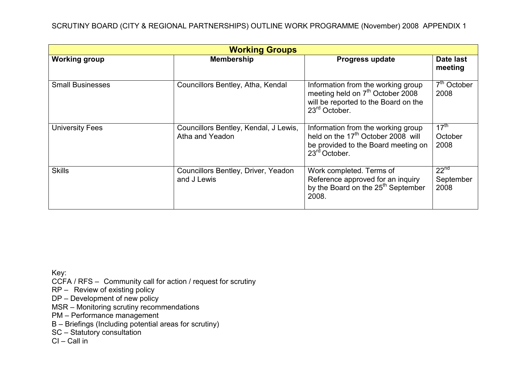| <b>Working Groups</b>   |                                                          |                                                                                                                                                          |                                       |
|-------------------------|----------------------------------------------------------|----------------------------------------------------------------------------------------------------------------------------------------------------------|---------------------------------------|
| <b>Working group</b>    | <b>Membership</b>                                        | <b>Progress update</b>                                                                                                                                   | Date last<br>meeting                  |
| <b>Small Businesses</b> | Councillors Bentley, Atha, Kendal                        | Information from the working group<br>meeting held on 7 <sup>th</sup> October 2008<br>will be reported to the Board on the<br>$23rd$ October.            | $7th$ October<br>2008                 |
| <b>University Fees</b>  | Councillors Bentley, Kendal, J Lewis,<br>Atha and Yeadon | Information from the working group<br>held on the 17 <sup>th</sup> October 2008 will<br>be provided to the Board meeting on<br>23 <sup>rd</sup> October. | $17^{\text{th}}$<br>October<br>2008   |
| <b>Skills</b>           | Councillors Bentley, Driver, Yeadon<br>and J Lewis       | Work completed. Terms of<br>Reference approved for an inquiry<br>by the Board on the 25 <sup>th</sup> September<br>2008.                                 | 22 <sup>nd</sup><br>September<br>2008 |

CCFA / RFS – Community call for action / request for scrutiny

RP – Review of existing policy

DP – Development of new policy

MSR – Monitoring scrutiny recommendations

PM – Performance management

B – Briefings (Including potential areas for scrutiny)

SC – Statutory consultation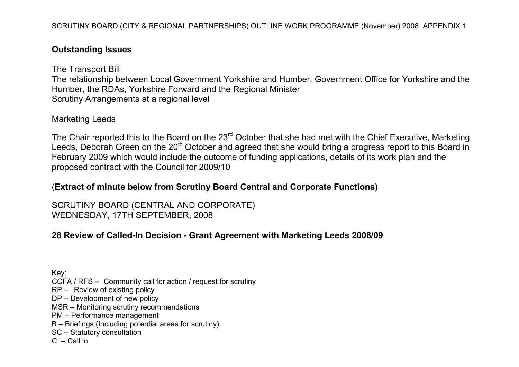## Outstanding Issues

The Transport Bill The relationship between Local Government Yorkshire and Humber, Government Office for Yorkshire and the Humber, the RDAs, Yorkshire Forward and the Regional Minister Scrutiny Arrangements at a regional level

### Marketing Leeds

The Chair reported this to the Board on the 23<sup>rd</sup> October that she had met with the Chief Executive, Marketing Leeds, Deborah Green on the 20<sup>th</sup> October and agreed that she would bring a progress report to this Board in February 2009 which would include the outcome of funding applications, details of its work plan and the proposed contract with the Council for 2009/10

## (Extract of minute below from Scrutiny Board Central and Corporate Functions)

SCRUTINY BOARD (CENTRAL AND CORPORATE) WEDNESDAY, 17TH SEPTEMBER, 2008

# 28 Review of Called-In Decision - Grant Agreement with Marketing Leeds 2008/09

Key: CCFA / RFS – Community call for action / request for scrutiny RP – Review of existing policy DP – Development of new policy MSR – Monitoring scrutiny recommendations PM – Performance management B – Briefings (Including potential areas for scrutiny) SC – Statutory consultation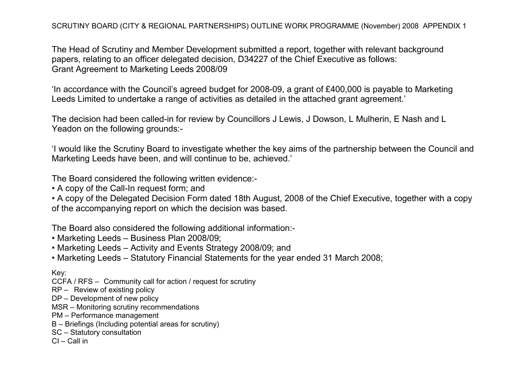The Head of Scrutiny and Member Development submitted a report, together with relevant background papers, relating to an officer delegated decision, D34227 of the Chief Executive as follows: Grant Agreement to Marketing Leeds 2008/09

'In accordance with the Council's agreed budget for 2008-09, a grant of £400,000 is payable to Marketing Leeds Limited to undertake a range of activities as detailed in the attached grant agreement.'

The decision had been called-in for review by Councillors J Lewis, J Dowson, L Mulherin, E Nash and L Yeadon on the following grounds:-

'I would like the Scrutiny Board to investigate whether the key aims of the partnership between the Council and Marketing Leeds have been, and will continue to be, achieved.'

The Board considered the following written evidence:-

• A copy of the Call-In request form; and

• A copy of the Delegated Decision Form dated 18th August, 2008 of the Chief Executive, together with a copy of the accompanying report on which the decision was based.

The Board also considered the following additional information:-

- Marketing Leeds Business Plan 2008/09;
- Marketing Leeds Activity and Events Strategy 2008/09; and
- Marketing Leeds Statutory Financial Statements for the year ended 31 March 2008;

Key:

- CCFA / RFS Community call for action / request for scrutiny
- RP Review of existing policy
- DP Development of new policy
- MSR Monitoring scrutiny recommendations
- PM Performance management
- B Briefings (Including potential areas for scrutiny)
- SC Statutory consultation
- CI Call in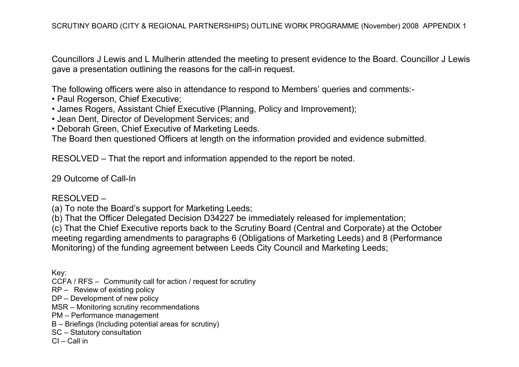Councillors J Lewis and L Mulherin attended the meeting to present evidence to the Board. Councillor J Lewis gave a presentation outlining the reasons for the call-in request.

The following officers were also in attendance to respond to Members' queries and comments:-

- Paul Rogerson, Chief Executive;
- James Rogers, Assistant Chief Executive (Planning, Policy and Improvement);
- Jean Dent, Director of Development Services; and
- Deborah Green, Chief Executive of Marketing Leeds.

The Board then questioned Officers at length on the information provided and evidence submitted.

RESOLVED – That the report and information appended to the report be noted.

29 Outcome of Call-In

#### RESOLVED –

(a) To note the Board's support for Marketing Leeds;

(b) That the Officer Delegated Decision D34227 be immediately released for implementation;

(c) That the Chief Executive reports back to the Scrutiny Board (Central and Corporate) at the October meeting regarding amendments to paragraphs 6 (Obligations of Marketing Leeds) and 8 (Performance Monitoring) of the funding agreement between Leeds City Council and Marketing Leeds;

Key:

- CCFA / RFS Community call for action / request for scrutiny
- RP Review of existing policy
- DP Development of new policy
- MSR Monitoring scrutiny recommendations
- PM Performance management
- B Briefings (Including potential areas for scrutiny)
- SC Statutory consultation
- CI Call in